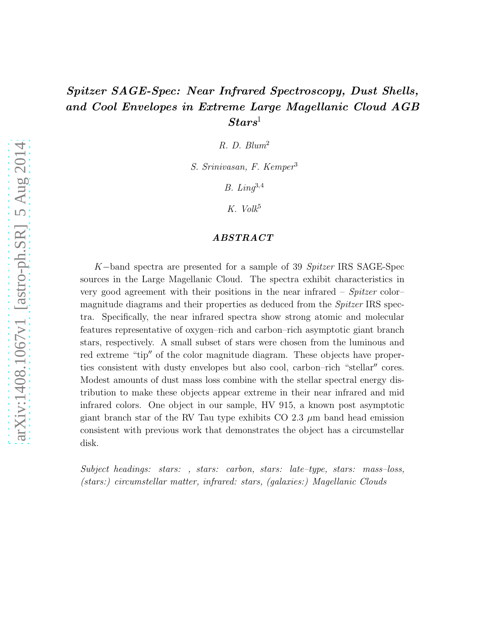# Spitzer SAGE-Spec: Near Infrared Spectroscopy, Dust Shells, and Cool Envelopes in Extreme Large Magellanic Cloud AGB  $Stars^1$

R. D. Blum<sup>2</sup>

S. Srinivasan, F. Kemper<sup>3</sup>

B. Lin $q^{3,4}$ 

K. Volk<sup>5</sup>

# ABSTRACT

K−band spectra are presented for a sample of 39 Spitzer IRS SAGE-Spec sources in the Large Magellanic Cloud. The spectra exhibit characteristics in very good agreement with their positions in the near infrared – Spitzer color– magnitude diagrams and their properties as deduced from the Spitzer IRS spectra. Specifically, the near infrared spectra show strong atomic and molecular features representative of oxygen–rich and carbon–rich asymptotic giant branch stars, respectively. A small subset of stars were chosen from the luminous and red extreme "tip" of the color magnitude diagram. These objects have properties consistent with dusty envelopes but also cool, carbon–rich "stellar′′ cores. Modest amounts of dust mass loss combine with the stellar spectral energy distribution to make these objects appear extreme in their near infrared and mid infrared colors. One object in our sample, HV 915, a known post asymptotic giant branch star of the RV Tau type exhibits CO 2.3  $\mu$ m band head emission consistent with previous work that demonstrates the object has a circumstellar disk.

Subject headings: stars: , stars: carbon, stars: late–type, stars: mass–loss, (stars:) circumstellar matter, infrared: stars, (galaxies:) Magellanic Clouds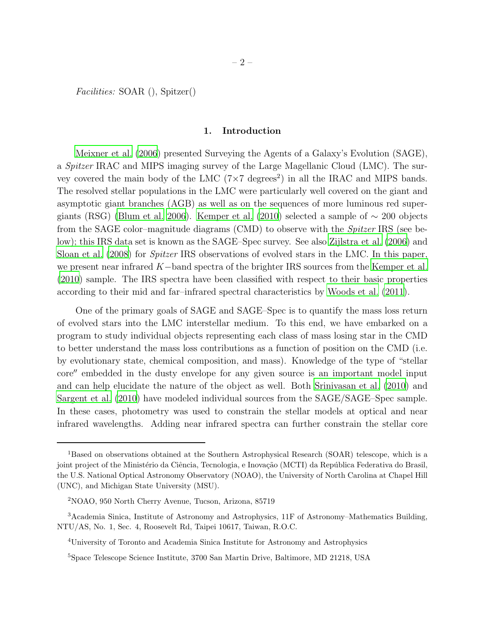Facilities: SOAR (), Spitzer()

# 1. Introduction

[Meixner et al. \(2006\)](#page-16-0) presented Surveying the Agents of a Galaxy's Evolution (SAGE), a Spitzer IRAC and MIPS imaging survey of the Large Magellanic Cloud (LMC). The survey covered the main body of the LMC  $(7\times7 \text{ degrees}^2)$  in all the IRAC and MIPS bands. The resolved stellar populations in the LMC were particularly well covered on the giant and asymptotic giant branches (AGB) as well as on the sequences of more luminous red super-giants (RSG) [\(Blum et al. 2006\)](#page-15-0). [Kemper et al. \(2010\)](#page-16-1) selected a sample of  $\sim$  200 objects from the SAGE color–magnitude diagrams (CMD) to observe with the Spitzer IRS (see below); this IRS data set is known as the SAGE–Spec survey. See also [Zijlstra et al. \(2006\)](#page-17-0) and [Sloan et al. \(2008\)](#page-17-1) for Spitzer IRS observations of evolved stars in the LMC. In this paper, we present near infrared K−band spectra of the brighter IRS sources from the [Kemper et al.](#page-16-1) [\(2010\)](#page-16-1) sample. The IRS spectra have been classified with respect to their basic properties according to their mid and far–infrared spectral characteristics by [Woods et al. \(2011\)](#page-17-2).

One of the primary goals of SAGE and SAGE–Spec is to quantify the mass loss return of evolved stars into the LMC interstellar medium. To this end, we have embarked on a program to study individual objects representing each class of mass losing star in the CMD to better understand the mass loss contributions as a function of position on the CMD (i.e. by evolutionary state, chemical composition, and mass). Knowledge of the type of "stellar core′′ embedded in the dusty envelope for any given source is an important model input and can help elucidate the nature of the object as well. Both [Srinivasan et al. \(2010](#page-17-3)) and [Sargent et al. \(2010\)](#page-16-2) have modeled individual sources from the SAGE/SAGE–Spec sample. In these cases, photometry was used to constrain the stellar models at optical and near infrared wavelengths. Adding near infrared spectra can further constrain the stellar core

<sup>&</sup>lt;sup>1</sup>Based on observations obtained at the Southern Astrophysical Research (SOAR) telescope, which is a joint project of the Ministério da Ciência, Tecnologia, e Inovação (MCTI) da República Federativa do Brasil, the U.S. National Optical Astronomy Observatory (NOAO), the University of North Carolina at Chapel Hill (UNC), and Michigan State University (MSU).

<sup>2</sup>NOAO, 950 North Cherry Avenue, Tucson, Arizona, 85719

<sup>3</sup>Academia Sinica, Institute of Astronomy and Astrophysics, 11F of Astronomy–Mathematics Building, NTU/AS, No. 1, Sec. 4, Roosevelt Rd, Taipei 10617, Taiwan, R.O.C.

<sup>4</sup>University of Toronto and Academia Sinica Institute for Astronomy and Astrophysics

<sup>5</sup>Space Telescope Science Institute, 3700 San Martin Drive, Baltimore, MD 21218, USA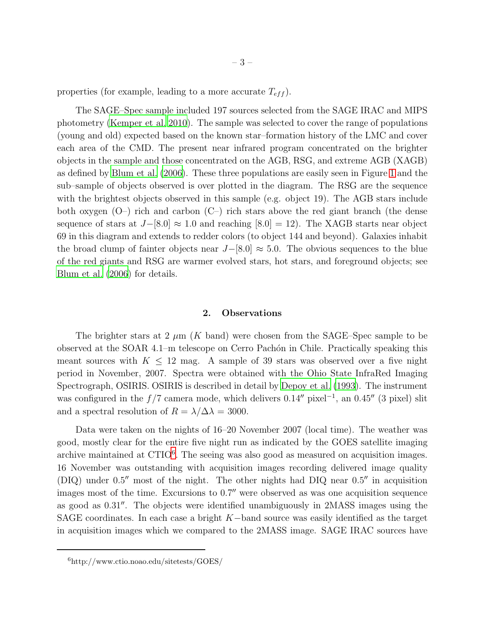properties (for example, leading to a more accurate  $T_{eff}$ ).

The SAGE–Spec sample included 197 sources selected from the SAGE IRAC and MIPS photometry [\(Kemper et al. 2010](#page-16-1)). The sample was selected to cover the range of populations (young and old) expected based on the known star–formation history of the LMC and cover each area of the CMD. The present near infrared program concentrated on the brighter objects in the sample and those concentrated on the AGB, RSG, and extreme AGB (XAGB) as defined by [Blum et al. \(2006\)](#page-15-0). These three populations are easily seen in Figure [1](#page-18-0) and the sub–sample of objects observed is over plotted in the diagram. The RSG are the sequence with the brightest objects observed in this sample (e.g. object 19). The AGB stars include both oxygen  $(O-)$  rich and carbon  $(C-)$  rich stars above the red giant branch (the dense sequence of stars at  $J-[8.0] \approx 1.0$  and reaching [8.0] = 12). The XAGB starts near object 69 in this diagram and extends to redder colors (to object 144 and beyond). Galaxies inhabit the broad clump of fainter objects near  $J-[8.0] \approx 5.0$ . The obvious sequences to the blue of the red giants and RSG are warmer evolved stars, hot stars, and foreground objects; see [Blum et al. \(2006\)](#page-15-0) for details.

## 2. Observations

The brighter stars at 2  $\mu$ m (K band) were chosen from the SAGE–Spec sample to be observed at the SOAR 4.1–m telescope on Cerro Pach´on in Chile. Practically speaking this meant sources with  $K \leq 12$  mag. A sample of 39 stars was observed over a five night period in November, 2007. Spectra were obtained with the Ohio State InfraRed Imaging Spectrograph, OSIRIS. OSIRIS is described in detail by [Depoy et al. \(1993\)](#page-15-1). The instrument was configured in the  $f/7$  camera mode, which delivers 0.14″ pixel<sup>-1</sup>, an 0.45″ (3 pixel) slit and a spectral resolution of  $R = \lambda/\Delta\lambda = 3000$ .

Data were taken on the nights of 16–20 November 2007 (local time). The weather was good, mostly clear for the entire five night run as indicated by the GOES satellite imaging archive maintained at CTIO<sup>[6](#page-2-0)</sup>. The seeing was also good as measured on acquisition images. 16 November was outstanding with acquisition images recording delivered image quality (DIQ) under 0.5′′ most of the night. The other nights had DIQ near 0.5′′ in acquisition images most of the time. Excursions to 0.7″ were observed as was one acquisition sequence as good as 0.31′′. The objects were identified unambiguously in 2MASS images using the SAGE coordinates. In each case a bright  $K$ -band source was easily identified as the target in acquisition images which we compared to the 2MASS image. SAGE IRAC sources have

<span id="page-2-0"></span><sup>6</sup>http://www.ctio.noao.edu/sitetests/GOES/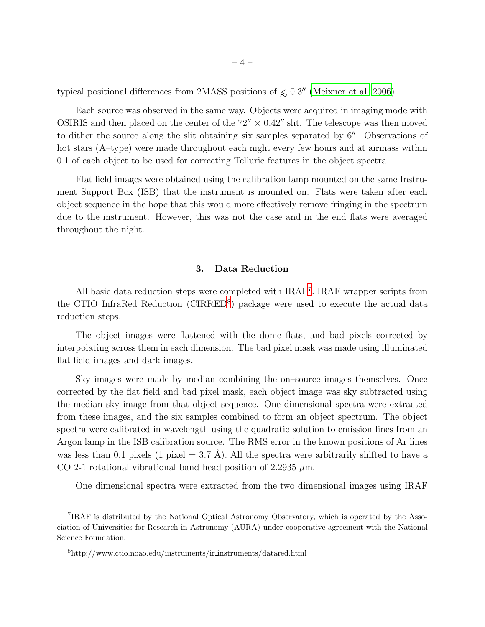typical positional differences from 2MASS positions of  $\leq 0.3''$  [\(Meixner et al. 2006\)](#page-16-0).

Each source was observed in the same way. Objects were acquired in imaging mode with OSIRIS and then placed on the center of the  $72'' \times 0.42''$  slit. The telescope was then moved to dither the source along the slit obtaining six samples separated by  $6''$ . Observations of hot stars (A–type) were made throughout each night every few hours and at airmass within 0.1 of each object to be used for correcting Telluric features in the object spectra.

Flat field images were obtained using the calibration lamp mounted on the same Instrument Support Box (ISB) that the instrument is mounted on. Flats were taken after each object sequence in the hope that this would more effectively remove fringing in the spectrum due to the instrument. However, this was not the case and in the end flats were averaged throughout the night.

# 3. Data Reduction

All basic data reduction steps were completed with IRAF<sup>[7](#page-3-0)</sup>. IRAF wrapper scripts from the CTIO InfraRed Reduction (CIRRED<sup>[8](#page-17-4)</sup>) package were used to execute the actual data reduction steps.

The object images were flattened with the dome flats, and bad pixels corrected by interpolating across them in each dimension. The bad pixel mask was made using illuminated flat field images and dark images.

Sky images were made by median combining the on–source images themselves. Once corrected by the flat field and bad pixel mask, each object image was sky subtracted using the median sky image from that object sequence. One dimensional spectra were extracted from these images, and the six samples combined to form an object spectrum. The object spectra were calibrated in wavelength using the quadratic solution to emission lines from an Argon lamp in the ISB calibration source. The RMS error in the known positions of Ar lines was less than 0.1 pixels (1 pixel = 3.7 Å). All the spectra were arbitrarily shifted to have a CO 2-1 rotational vibrational band head position of 2.2935  $\mu$ m.

One dimensional spectra were extracted from the two dimensional images using IRAF

<span id="page-3-0"></span><sup>7</sup> IRAF is distributed by the National Optical Astronomy Observatory, which is operated by the Association of Universities for Research in Astronomy (AURA) under cooperative agreement with the National Science Foundation.

<sup>8</sup>http://www.ctio.noao.edu/instruments/ir instruments/datared.html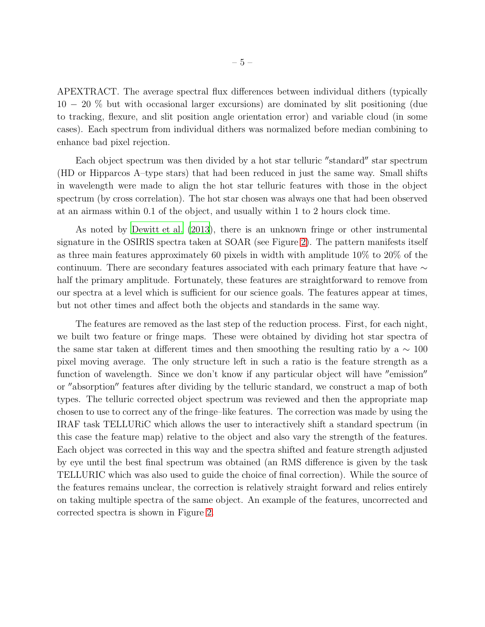APEXTRACT. The average spectral flux differences between individual dithers (typically 10 − 20 % but with occasional larger excursions) are dominated by slit positioning (due to tracking, flexure, and slit position angle orientation error) and variable cloud (in some cases). Each spectrum from individual dithers was normalized before median combining to enhance bad pixel rejection.

Each object spectrum was then divided by a hot star telluric "standard" star spectrum (HD or Hipparcos A–type stars) that had been reduced in just the same way. Small shifts in wavelength were made to align the hot star telluric features with those in the object spectrum (by cross correlation). The hot star chosen was always one that had been observed at an airmass within 0.1 of the object, and usually within 1 to 2 hours clock time.

As noted by [Dewitt et al. \(2013\)](#page-16-3), there is an unknown fringe or other instrumental signature in the OSIRIS spectra taken at SOAR (see Figure [2\)](#page-19-0). The pattern manifests itself as three main features approximately 60 pixels in width with amplitude 10% to 20% of the continuum. There are secondary features associated with each primary feature that have  $\sim$ half the primary amplitude. Fortunately, these features are straightforward to remove from our spectra at a level which is sufficient for our science goals. The features appear at times, but not other times and affect both the objects and standards in the same way.

The features are removed as the last step of the reduction process. First, for each night, we built two feature or fringe maps. These were obtained by dividing hot star spectra of the same star taken at different times and then smoothing the resulting ratio by a  $\sim 100$ pixel moving average. The only structure left in such a ratio is the feature strength as a function of wavelength. Since we don't know if any particular object will have "emission" or ′′absorption′′ features after dividing by the telluric standard, we construct a map of both types. The telluric corrected object spectrum was reviewed and then the appropriate map chosen to use to correct any of the fringe–like features. The correction was made by using the IRAF task TELLURiC which allows the user to interactively shift a standard spectrum (in this case the feature map) relative to the object and also vary the strength of the features. Each object was corrected in this way and the spectra shifted and feature strength adjusted by eye until the best final spectrum was obtained (an RMS difference is given by the task TELLURIC which was also used to guide the choice of final correction). While the source of the features remains unclear, the correction is relatively straight forward and relies entirely on taking multiple spectra of the same object. An example of the features, uncorrected and corrected spectra is shown in Figure [2.](#page-19-0)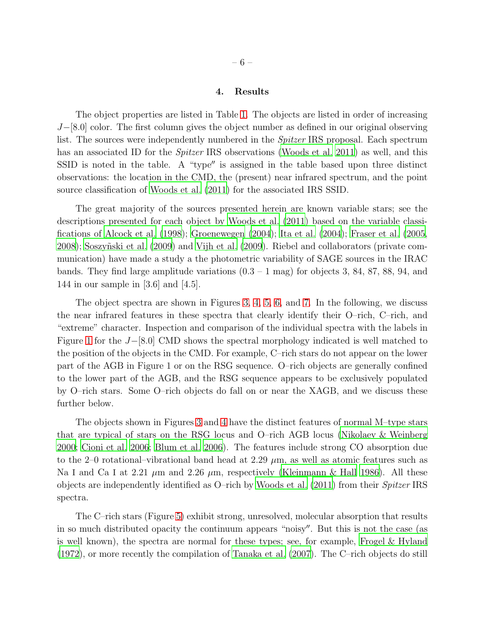### 4. Results

The object properties are listed in Table [1.](#page-17-5) The objects are listed in order of increasing  $J-[8.0]$  color. The first column gives the object number as defined in our original observing list. The sources were independently numbered in the Spitzer IRS proposal. Each spectrum has an associated ID for the *Spitzer* IRS observations [\(Woods et al. 2011\)](#page-17-2) as well, and this SSID is noted in the table. A "type′′ is assigned in the table based upon three distinct observations: the location in the CMD, the (present) near infrared spectrum, and the point source classification of [Woods et al. \(2011\)](#page-17-2) for the associated IRS SSID.

The great majority of the sources presented herein are known variable stars; see the descriptions presented for each object by [Woods et al. \(2011](#page-17-2)) based on the variable classifications of [Alcock et al. \(1998](#page-15-2)); [Groenewegen \(2004\)](#page-16-4); [Ita et al. \(2004\)](#page-16-5); [Fraser et al. \(2005,](#page-16-6) [2008\)](#page-16-7); [Soszy˜nski et al. \(2009](#page-17-6)) and [Vijh et al. \(2009](#page-17-7)). Riebel and collaborators (private communication) have made a study a the photometric variability of SAGE sources in the IRAC bands. They find large amplitude variations  $(0.3 - 1 \text{ mag})$  for objects 3, 84, 87, 88, 94, and 144 in our sample in [3.6] and [4.5].

The object spectra are shown in Figures [3,](#page-20-0) [4,](#page-21-0) [5,](#page-22-0) [6,](#page-23-0) and [7.](#page-24-0) In the following, we discuss the near infrared features in these spectra that clearly identify their O–rich, C–rich, and "extreme" character. Inspection and comparison of the individual spectra with the labels in Figure [1](#page-18-0) for the  $J-[8.0]$  CMD shows the spectral morphology indicated is well matched to the position of the objects in the CMD. For example, C–rich stars do not appear on the lower part of the AGB in Figure 1 or on the RSG sequence. O–rich objects are generally confined to the lower part of the AGB, and the RSG sequence appears to be exclusively populated by O–rich stars. Some O–rich objects do fall on or near the XAGB, and we discuss these further below.

The objects shown in Figures [3](#page-20-0) and [4](#page-21-0) have the distinct features of normal M–type stars that are typical of stars on the RSG locus and O–rich AGB locus [\(Nikolaev & Weinberg](#page-16-8) [2000;](#page-16-8) [Cioni et al. 2006](#page-15-3); [Blum et al. 2006](#page-15-0)). The features include strong CO absorption due to the 2–0 rotational–vibrational band head at 2.29  $\mu$ m, as well as atomic features such as Na I and Ca I at 2.21  $\mu$ m and 2.26  $\mu$ m, respectively [\(Kleinmann & Hall 1986\)](#page-16-9). All these objects are independently identified as O–rich by [Woods et al. \(2011\)](#page-17-2) from their Spitzer IRS spectra.

The C–rich stars (Figure [5\)](#page-22-0) exhibit strong, unresolved, molecular absorption that results in so much distributed opacity the continuum appears "noisy′′. But this is not the case (as is well known), the spectra are normal for these types; see, for example, [Frogel & Hyland](#page-16-10) [\(1972\)](#page-16-10), or more recently the compilation of [Tanaka et al. \(2007](#page-17-8)). The C–rich objects do still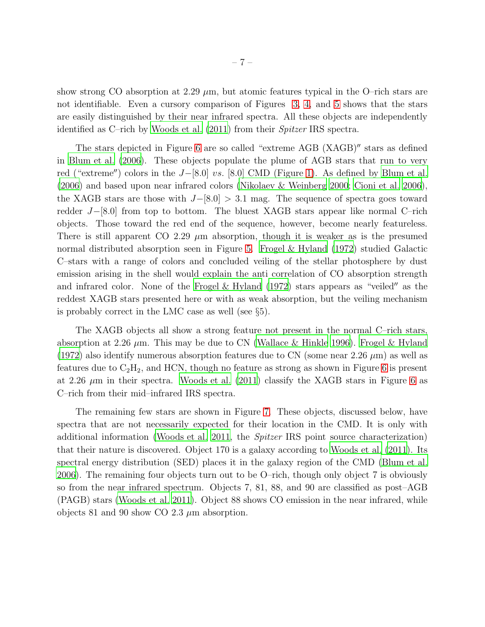show strong CO absorption at 2.29  $\mu$ m, but atomic features typical in the O–rich stars are not identifiable. Even a cursory comparison of Figures [3,](#page-20-0) [4,](#page-21-0) and [5](#page-22-0) shows that the stars are easily distinguished by their near infrared spectra. All these objects are independently identified as C–rich by [Woods et al. \(2011\)](#page-17-2) from their Spitzer IRS spectra.

The stars depicted in Figure [6](#page-23-0) are so called "extreme AGB (XAGB)′′ stars as defined in [Blum et al. \(2006\)](#page-15-0). These objects populate the plume of AGB stars that run to very red ("extreme") colors in the  $J-[8.0]$  vs. [8.0] CMD (Figure [1\)](#page-18-0). As defined by [Blum et al.](#page-15-0) [\(2006\)](#page-15-0) and based upon near infrared colors [\(Nikolaev & Weinberg 2000;](#page-16-8) [Cioni et al. 2006](#page-15-3)), the XAGB stars are those with  $J-[8.0] > 3.1$  mag. The sequence of spectra goes toward redder J−[8.0] from top to bottom. The bluest XAGB stars appear like normal C–rich objects. Those toward the red end of the sequence, however, become nearly featureless. There is still apparent CO 2.29  $\mu$ m absorption, though it is weaker as is the presumed normal distributed absorption seen in Figure [5.](#page-22-0) [Frogel & Hyland \(1972](#page-16-10)) studied Galactic C–stars with a range of colors and concluded veiling of the stellar photosphere by dust emission arising in the shell would explain the anti correlation of CO absorption strength and infrared color. None of the Frogel & Hyland  $(1972)$  stars appears as "veiled" as the reddest XAGB stars presented here or with as weak absorption, but the veiling mechanism is probably correct in the LMC case as well (see §5).

The XAGB objects all show a strong feature not present in the normal C–rich stars, absorption at 2.26  $\mu$ m. This may be due to CN [\(Wallace & Hinkle 1996\)](#page-17-9). [Frogel & Hyland](#page-16-10) [\(1972\)](#page-16-10) also identify numerous absorption features due to CN (some near 2.26  $\mu$ m) as well as features due to  $C_2H_2$ , and HCN, though no feature as strong as shown in Figure [6](#page-23-0) is present at 2.26  $\mu$ m in their spectra. [Woods et al. \(2011\)](#page-17-2) classify the XAGB stars in Figure [6](#page-23-0) as C–rich from their mid–infrared IRS spectra.

The remaining few stars are shown in Figure [7.](#page-24-0) These objects, discussed below, have spectra that are not necessarily expected for their location in the CMD. It is only with additional information [\(Woods et al. 2011,](#page-17-2) the Spitzer IRS point source characterization) that their nature is discovered. Object 170 is a galaxy according to [Woods et al. \(2011\)](#page-17-2). Its spectral energy distribution (SED) places it in the galaxy region of the CMD [\(Blum et al.](#page-15-0) [2006\)](#page-15-0). The remaining four objects turn out to be O–rich, though only object 7 is obviously so from the near infrared spectrum. Objects 7, 81, 88, and 90 are classified as post–AGB (PAGB) stars [\(Woods et al. 2011\)](#page-17-2). Object 88 shows CO emission in the near infrared, while objects 81 and 90 show CO 2.3  $\mu$ m absorption.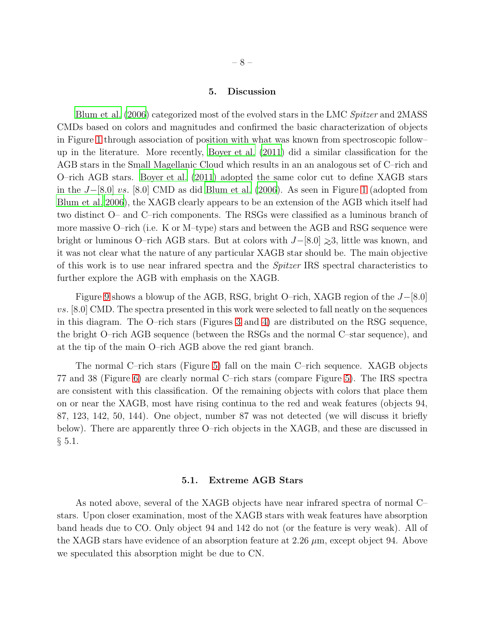### 5. Discussion

[Blum et al. \(2006](#page-15-0)) categorized most of the evolved stars in the LMC Spitzer and 2MASS CMDs based on colors and magnitudes and confirmed the basic characterization of objects in Figure [1](#page-18-0) through association of position with what was known from spectroscopic follow– up in the literature. More recently, [Boyer et al. \(2011](#page-15-4)) did a similar classification for the AGB stars in the Small Magellanic Cloud which results in an an analogous set of C–rich and O–rich AGB stars. [Boyer et al. \(2011](#page-15-4)) adopted the same color cut to define XAGB stars in the J−[8.0] vs. [8.0] CMD as did [Blum et al. \(2006\)](#page-15-0). As seen in Figure [1](#page-18-0) (adopted from [Blum et al. 2006](#page-15-0)), the XAGB clearly appears to be an extension of the AGB which itself had two distinct O– and C–rich components. The RSGs were classified as a luminous branch of more massive O–rich (i.e. K or M–type) stars and between the AGB and RSG sequence were bright or luminous O–rich AGB stars. But at colors with  $J-[8.0] \geq 3$ , little was known, and it was not clear what the nature of any particular XAGB star should be. The main objective of this work is to use near infrared spectra and the Spitzer IRS spectral characteristics to further explore the AGB with emphasis on the XAGB.

Figure [9](#page-26-0) shows a blowup of the AGB, RSG, bright O–rich, XAGB region of the J−[8.0] vs. [8.0] CMD. The spectra presented in this work were selected to fall neatly on the sequences in this diagram. The O–rich stars (Figures [3](#page-20-0) and [4\)](#page-21-0) are distributed on the RSG sequence, the bright O–rich AGB sequence (between the RSGs and the normal C–star sequence), and at the tip of the main O–rich AGB above the red giant branch.

The normal C–rich stars (Figure [5\)](#page-22-0) fall on the main C–rich sequence. XAGB objects 77 and 38 (Figure [6\)](#page-23-0) are clearly normal C–rich stars (compare Figure [5\)](#page-22-0). The IRS spectra are consistent with this classification. Of the remaining objects with colors that place them on or near the XAGB, most have rising continua to the red and weak features (objects 94, 87, 123, 142, 50, 144). One object, number 87 was not detected (we will discuss it briefly below). There are apparently three O–rich objects in the XAGB, and these are discussed in  $§ 5.1.$ 

#### 5.1. Extreme AGB Stars

As noted above, several of the XAGB objects have near infrared spectra of normal C– stars. Upon closer examination, most of the XAGB stars with weak features have absorption band heads due to CO. Only object 94 and 142 do not (or the feature is very weak). All of the XAGB stars have evidence of an absorption feature at  $2.26 \mu m$ , except object 94. Above we speculated this absorption might be due to CN.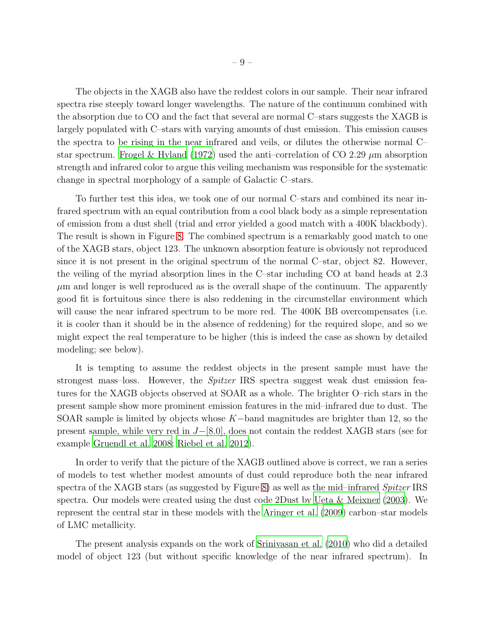The objects in the XAGB also have the reddest colors in our sample. Their near infrared spectra rise steeply toward longer wavelengths. The nature of the continuum combined with the absorption due to CO and the fact that several are normal C–stars suggests the XAGB is largely populated with C–stars with varying amounts of dust emission. This emission causes the spectra to be rising in the near infrared and veils, or dilutes the otherwise normal C– star spectrum. [Frogel & Hyland \(1972\)](#page-16-10) used the anti-correlation of CO 2.29  $\mu$ m absorption strength and infrared color to argue this veiling mechanism was responsible for the systematic change in spectral morphology of a sample of Galactic C–stars.

To further test this idea, we took one of our normal C–stars and combined its near infrared spectrum with an equal contribution from a cool black body as a simple representation of emission from a dust shell (trial and error yielded a good match with a 400K blackbody). The result is shown in Figure [8.](#page-25-0) The combined spectrum is a remarkably good match to one of the XAGB stars, object 123. The unknown absorption feature is obviously not reproduced since it is not present in the original spectrum of the normal C–star, object 82. However, the veiling of the myriad absorption lines in the C–star including CO at band heads at 2.3  $\mu$ m and longer is well reproduced as is the overall shape of the continuum. The apparently good fit is fortuitous since there is also reddening in the circumstellar environment which will cause the near infrared spectrum to be more red. The 400K BB overcompensates (i.e. it is cooler than it should be in the absence of reddening) for the required slope, and so we might expect the real temperature to be higher (this is indeed the case as shown by detailed modeling; see below).

It is tempting to assume the reddest objects in the present sample must have the strongest mass–loss. However, the Spitzer IRS spectra suggest weak dust emission features for the XAGB objects observed at SOAR as a whole. The brighter O–rich stars in the present sample show more prominent emission features in the mid–infrared due to dust. The SOAR sample is limited by objects whose  $K-$ band magnitudes are brighter than 12, so the present sample, while very red in J−[8.0], does not contain the reddest XAGB stars (see for example [Gruendl et al. 2008;](#page-16-11) [Riebel et al. 2012\)](#page-16-12).

In order to verify that the picture of the XAGB outlined above is correct, we ran a series of models to test whether modest amounts of dust could reproduce both the near infrared spectra of the XAGB stars (as suggested by Figure [8\)](#page-25-0) as well as the mid-infrared *Spitzer* IRS spectra. Our models were created using the dust code 2Dust by [Ueta & Meixner \(2003\)](#page-17-10). We represent the central star in these models with the [Aringer et al. \(2009\)](#page-15-5) carbon–star models of LMC metallicity.

The present analysis expands on the work of [Srinivasan et al. \(2010](#page-17-3)) who did a detailed model of object 123 (but without specific knowledge of the near infrared spectrum). In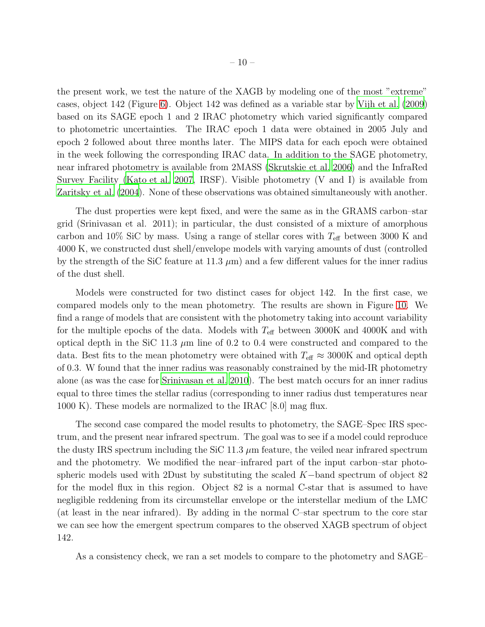the present work, we test the nature of the XAGB by modeling one of the most "extreme" cases, object 142 (Figure [6\)](#page-23-0). Object 142 was defined as a variable star by [Vijh et al. \(2009\)](#page-17-7) based on its SAGE epoch 1 and 2 IRAC photometry which varied significantly compared to photometric uncertainties. The IRAC epoch 1 data were obtained in 2005 July and epoch 2 followed about three months later. The MIPS data for each epoch were obtained in the week following the corresponding IRAC data. In addition to the SAGE photometry, near infrared photometry is available from 2MASS [\(Skrutskie et al. 2006\)](#page-16-13) and the InfraRed Survey Facility [\(Kato et al. 2007,](#page-16-14) IRSF). Visible photometry (V and I) is available from [Zaritsky et al. \(2004](#page-17-11)). None of these observations was obtained simultaneously with another.

The dust properties were kept fixed, and were the same as in the GRAMS carbon–star grid (Srinivasan et al. 2011); in particular, the dust consisted of a mixture of amorphous carbon and 10% SiC by mass. Using a range of stellar cores with  $T_{\text{eff}}$  between 3000 K and 4000 K, we constructed dust shell/envelope models with varying amounts of dust (controlled by the strength of the SiC feature at 11.3  $\mu$ m) and a few different values for the inner radius of the dust shell.

Models were constructed for two distinct cases for object 142. In the first case, we compared models only to the mean photometry. The results are shown in Figure [10.](#page-27-0) We find a range of models that are consistent with the photometry taking into account variability for the multiple epochs of the data. Models with  $T_{\text{eff}}$  between 3000K and 4000K and with optical depth in the SiC 11.3  $\mu$ m line of 0.2 to 0.4 were constructed and compared to the data. Best fits to the mean photometry were obtained with  $T_{\text{eff}} \approx 3000$ K and optical depth of 0.3. W found that the inner radius was reasonably constrained by the mid-IR photometry alone (as was the case for [Srinivasan et al. 2010\)](#page-17-3). The best match occurs for an inner radius equal to three times the stellar radius (corresponding to inner radius dust temperatures near 1000 K). These models are normalized to the IRAC [8.0] mag flux.

The second case compared the model results to photometry, the SAGE–Spec IRS spectrum, and the present near infrared spectrum. The goal was to see if a model could reproduce the dusty IRS spectrum including the SiC 11.3  $\mu$ m feature, the veiled near infrared spectrum and the photometry. We modified the near–infrared part of the input carbon–star photospheric models used with 2Dust by substituting the scaled  $K$ −band spectrum of object 82 for the model flux in this region. Object 82 is a normal C-star that is assumed to have negligible reddening from its circumstellar envelope or the interstellar medium of the LMC (at least in the near infrared). By adding in the normal C–star spectrum to the core star we can see how the emergent spectrum compares to the observed XAGB spectrum of object 142.

As a consistency check, we ran a set models to compare to the photometry and SAGE–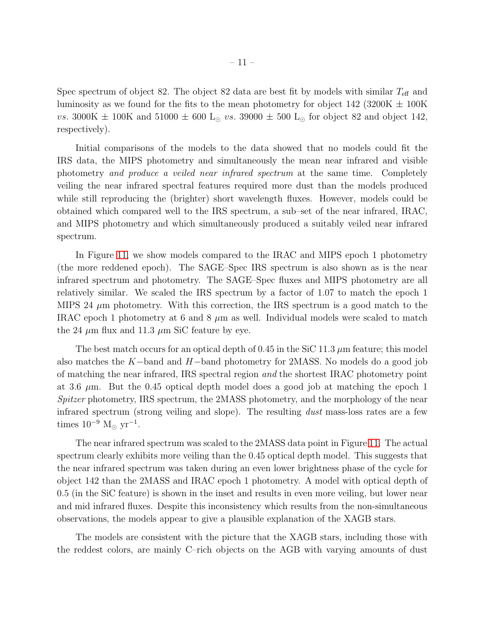Spec spectrum of object 82. The object 82 data are best fit by models with similar  $T_{\text{eff}}$  and luminosity as we found for the fits to the mean photometry for object  $142$  (3200K  $\pm$  100K) vs. 3000K  $\pm$  100K and 51000  $\pm$  600 L<sub>☉</sub> vs. 39000  $\pm$  500 L<sub>☉</sub> for object 82 and object 142, respectively).

Initial comparisons of the models to the data showed that no models could fit the IRS data, the MIPS photometry and simultaneously the mean near infrared and visible photometry and produce a veiled near infrared spectrum at the same time. Completely veiling the near infrared spectral features required more dust than the models produced while still reproducing the (brighter) short wavelength fluxes. However, models could be obtained which compared well to the IRS spectrum, a sub–set of the near infrared, IRAC, and MIPS photometry and which simultaneously produced a suitably veiled near infrared spectrum.

In Figure [11,](#page-28-0) we show models compared to the IRAC and MIPS epoch 1 photometry (the more reddened epoch). The SAGE–Spec IRS spectrum is also shown as is the near infrared spectrum and photometry. The SAGE–Spec fluxes and MIPS photometry are all relatively similar. We scaled the IRS spectrum by a factor of 1.07 to match the epoch 1 MIPS 24  $\mu$ m photometry. With this correction, the IRS spectrum is a good match to the IRAC epoch 1 photometry at 6 and 8  $\mu$ m as well. Individual models were scaled to match the 24  $\mu$ m flux and 11.3  $\mu$ m SiC feature by eye.

The best match occurs for an optical depth of 0.45 in the SiC 11.3  $\mu$ m feature; this model also matches the K−band and H−band photometry for 2MASS. No models do a good job of matching the near infrared, IRS spectral region and the shortest IRAC photometry point at 3.6  $\mu$ m. But the 0.45 optical depth model does a good job at matching the epoch 1 Spitzer photometry, IRS spectrum, the 2MASS photometry, and the morphology of the near infrared spectrum (strong veiling and slope). The resulting dust mass-loss rates are a few times  $10^{-9}$  M<sub>☉</sub> yr<sup>-1</sup>.

The near infrared spectrum was scaled to the 2MASS data point in Figure [11.](#page-28-0) The actual spectrum clearly exhibits more veiling than the 0.45 optical depth model. This suggests that the near infrared spectrum was taken during an even lower brightness phase of the cycle for object 142 than the 2MASS and IRAC epoch 1 photometry. A model with optical depth of 0.5 (in the SiC feature) is shown in the inset and results in even more veiling, but lower near and mid infrared fluxes. Despite this inconsistency which results from the non-simultaneous observations, the models appear to give a plausible explanation of the XAGB stars.

The models are consistent with the picture that the XAGB stars, including those with the reddest colors, are mainly C–rich objects on the AGB with varying amounts of dust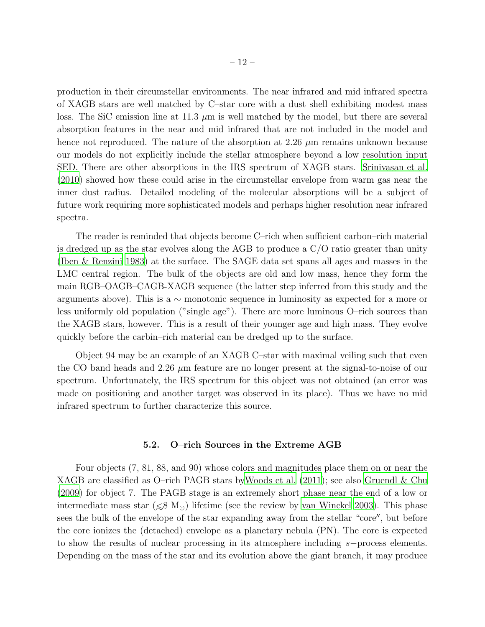production in their circumstellar environments. The near infrared and mid infrared spectra of XAGB stars are well matched by C–star core with a dust shell exhibiting modest mass loss. The SiC emission line at 11.3  $\mu$ m is well matched by the model, but there are several absorption features in the near and mid infrared that are not included in the model and hence not reproduced. The nature of the absorption at 2.26  $\mu$ m remains unknown because our models do not explicitly include the stellar atmosphere beyond a low resolution input SED. There are other absorptions in the IRS spectrum of XAGB stars. [Srinivasan et al.](#page-17-3) [\(2010\)](#page-17-3) showed how these could arise in the circumstellar envelope from warm gas near the inner dust radius. Detailed modeling of the molecular absorptions will be a subject of future work requiring more sophisticated models and perhaps higher resolution near infrared spectra.

The reader is reminded that objects become C–rich when sufficient carbon–rich material is dredged up as the star evolves along the AGB to produce a C/O ratio greater than unity [\(Iben & Renzini 1983](#page-16-15)) at the surface. The SAGE data set spans all ages and masses in the LMC central region. The bulk of the objects are old and low mass, hence they form the main RGB–OAGB–CAGB-XAGB sequence (the latter step inferred from this study and the arguments above). This is a ∼ monotonic sequence in luminosity as expected for a more or less uniformly old population ("single age"). There are more luminous O–rich sources than the XAGB stars, however. This is a result of their younger age and high mass. They evolve quickly before the carbin–rich material can be dredged up to the surface.

Object 94 may be an example of an XAGB C–star with maximal veiling such that even the CO band heads and 2.26  $\mu$ m feature are no longer present at the signal-to-noise of our spectrum. Unfortunately, the IRS spectrum for this object was not obtained (an error was made on positioning and another target was observed in its place). Thus we have no mid infrared spectrum to further characterize this source.

### 5.2. O–rich Sources in the Extreme AGB

Four objects (7, 81, 88, and 90) whose colors and magnitudes place them on or near the XAGB are classified as O–rich PAGB stars b[yWoods et al. \(2011\)](#page-17-2); see also [Gruendl & Chu](#page-16-16) [\(2009\)](#page-16-16) for object 7. The PAGB stage is an extremely short phase near the end of a low or intermediate mass star (  $\leq 8 \, \text{M}_{\odot}$ ) lifetime (see the review by [van Winckel 2003](#page-17-12)). This phase sees the bulk of the envelope of the star expanding away from the stellar "core′′, but before the core ionizes the (detached) envelope as a planetary nebula (PN). The core is expected to show the results of nuclear processing in its atmosphere including s−process elements. Depending on the mass of the star and its evolution above the giant branch, it may produce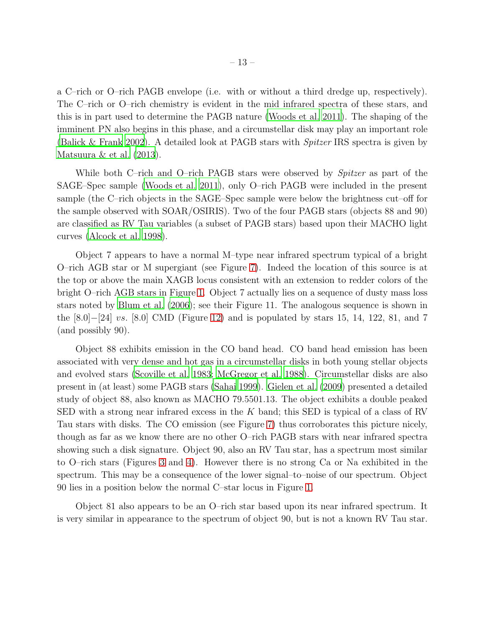a C–rich or O–rich PAGB envelope (i.e. with or without a third dredge up, respectively). The C–rich or O–rich chemistry is evident in the mid infrared spectra of these stars, and this is in part used to determine the PAGB nature [\(Woods et al. 2011\)](#page-17-2). The shaping of the imminent PN also begins in this phase, and a circumstellar disk may play an important role [\(Balick & Frank 2002](#page-15-6)). A detailed look at PAGB stars with *Spitzer* IRS spectra is given by [Matsuura & et al. \(2013\)](#page-16-17).

While both C–rich and O–rich PAGB stars were observed by *Spitzer* as part of the SAGE–Spec sample [\(Woods et al. 2011\)](#page-17-2), only O–rich PAGB were included in the present sample (the C–rich objects in the SAGE–Spec sample were below the brightness cut–off for the sample observed with SOAR/OSIRIS). Two of the four PAGB stars (objects 88 and 90) are classified as RV Tau variables (a subset of PAGB stars) based upon their MACHO light curves [\(Alcock et al. 1998](#page-15-2)).

Object 7 appears to have a normal M–type near infrared spectrum typical of a bright O–rich AGB star or M supergiant (see Figure [7\)](#page-24-0). Indeed the location of this source is at the top or above the main XAGB locus consistent with an extension to redder colors of the bright O–rich AGB stars in Figure [1.](#page-18-0) Object 7 actually lies on a sequence of dusty mass loss stars noted by [Blum et al. \(2006](#page-15-0)); see their Figure 11. The analogous sequence is shown in the [8.0]−[24] vs. [8.0] CMD (Figure [12\)](#page-29-0) and is populated by stars 15, 14, 122, 81, and 7 (and possibly 90).

Object 88 exhibits emission in the CO band head. CO band head emission has been associated with very dense and hot gas in a circumstellar disks in both young stellar objects and evolved stars [\(Scoville et al. 1983;](#page-16-18) [McGregor et al. 1988](#page-16-19)). Circumstellar disks are also present in (at least) some PAGB stars [\(Sahai 1999](#page-16-20)). [Gielen et al. \(2009\)](#page-16-21) presented a detailed study of object 88, also known as MACHO 79.5501.13. The object exhibits a double peaked SED with a strong near infrared excess in the K band; this SED is typical of a class of RV Tau stars with disks. The CO emission (see Figure [7\)](#page-24-0) thus corroborates this picture nicely, though as far as we know there are no other O–rich PAGB stars with near infrared spectra showing such a disk signature. Object 90, also an RV Tau star, has a spectrum most similar to O–rich stars (Figures [3](#page-20-0) and [4\)](#page-21-0). However there is no strong Ca or Na exhibited in the spectrum. This may be a consequence of the lower signal–to–noise of our spectrum. Object 90 lies in a position below the normal C–star locus in Figure [1.](#page-18-0)

Object 81 also appears to be an O–rich star based upon its near infrared spectrum. It is very similar in appearance to the spectrum of object 90, but is not a known RV Tau star.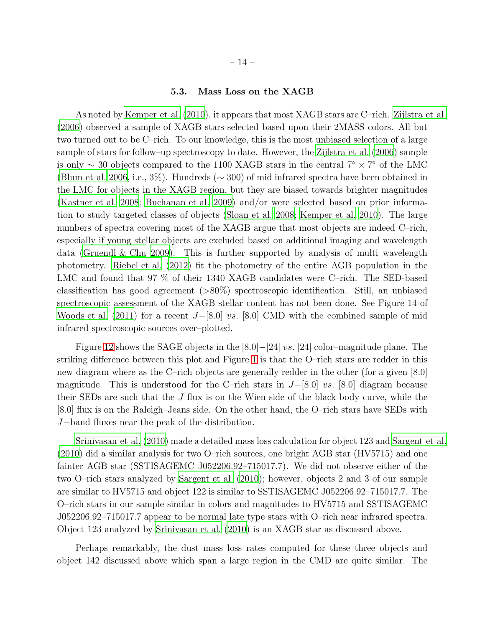# 5.3. Mass Loss on the XAGB

As noted by [Kemper et al. \(2010\)](#page-16-1), it appears that most XAGB stars are C–rich. [Zijlstra et al.](#page-17-0) [\(2006\)](#page-17-0) observed a sample of XAGB stars selected based upon their 2MASS colors. All but two turned out to be C–rich. To our knowledge, this is the most unbiased selection of a large sample of stars for follow–up spectroscopy to date. However, the [Zijlstra et al. \(2006](#page-17-0)) sample is only  $\sim$  30 objects compared to the 1100 XAGB stars in the central 7°  $\times$  7° of the LMC [\(Blum et al. 2006,](#page-15-0) i.e., 3%). Hundreds (∼ 300) of mid infrared spectra have been obtained in the LMC for objects in the XAGB region, but they are biased towards brighter magnitudes [\(Kastner et al. 2008](#page-16-22); [Buchanan et al. 2009\)](#page-15-7) and/or were selected based on prior information to study targeted classes of objects [\(Sloan et al. 2008;](#page-17-1) [Kemper et al. 2010](#page-16-1)). The large numbers of spectra covering most of the XAGB argue that most objects are indeed C–rich, especially if young stellar objects are excluded based on additional imaging and wavelength data (Gruendl  $\&$  Chu 2009). This is further supported by analysis of multi wavelength photometry. [Riebel et al. \(2012](#page-16-12)) fit the photometry of the entire AGB population in the LMC and found that 97 % of their 1340 XAGB candidates were C–rich. The SED-based classification has good agreement (>80%) spectroscopic identification. Still, an unbiased spectroscopic assessment of the XAGB stellar content has not been done. See Figure 14 of [Woods et al. \(2011](#page-17-2)) for a recent  $J-[8.0]$  vs. [8.0] CMD with the combined sample of mid infrared spectroscopic sources over–plotted.

Figure [12](#page-29-0) shows the SAGE objects in the  $[8.0]-[24]$  vs. [24] color–magnitude plane. The striking difference between this plot and Figure [1](#page-18-0) is that the O–rich stars are redder in this new diagram where as the C–rich objects are generally redder in the other (for a given [8.0] magnitude. This is understood for the C–rich stars in  $J-[8.0]$  vs. [8.0] diagram because their SEDs are such that the  $J$  flux is on the Wien side of the black body curve, while the [8.0] flux is on the Raleigh–Jeans side. On the other hand, the O–rich stars have SEDs with J−band fluxes near the peak of the distribution.

[Srinivasan et al. \(2010](#page-17-3)) made a detailed mass loss calculation for object 123 and [Sargent et al.](#page-16-2) [\(2010\)](#page-16-2) did a similar analysis for two O–rich sources, one bright AGB star (HV5715) and one fainter AGB star (SSTISAGEMC J052206.92–715017.7). We did not observe either of the two O–rich stars analyzed by [Sargent et al. \(2010\)](#page-16-2); however, objects 2 and 3 of our sample are similar to HV5715 and object 122 is similar to SSTISAGEMC J052206.92–715017.7. The O–rich stars in our sample similar in colors and magnitudes to HV5715 and SSTISAGEMC J052206.92–715017.7 appear to be normal late type stars with O–rich near infrared spectra. Object 123 analyzed by [Srinivasan et al. \(2010](#page-17-3)) is an XAGB star as discussed above.

Perhaps remarkably, the dust mass loss rates computed for these three objects and object 142 discussed above which span a large region in the CMD are quite similar. The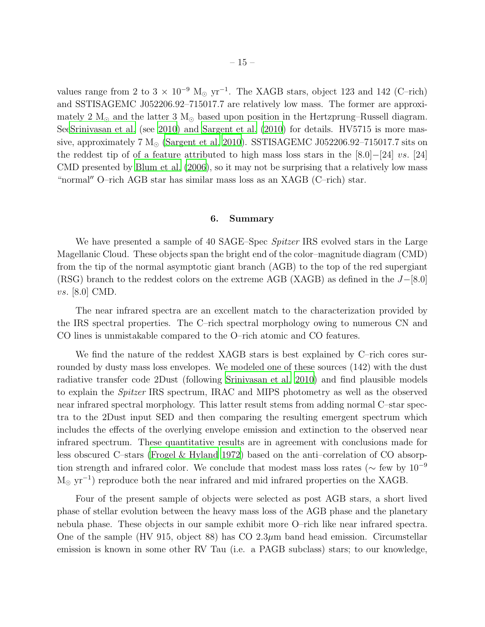values range from 2 to 3  $\times$  10<sup>-9</sup> M<sub>☉</sub> yr<sup>-1</sup>. The XAGB stars, object 123 and 142 (C–rich) and SSTISAGEMC J052206.92–715017.7 are relatively low mass. The former are approximately 2  $M_{\odot}$  and the latter 3  $M_{\odot}$  based upon position in the Hertzprung–Russell diagram. Se[eSrinivasan et al.](#page-17-3) (see [2010](#page-17-3)) and [Sargent et al. \(2010\)](#page-16-2) for details. HV5715 is more massive, approximately 7  $M_{\odot}$  [\(Sargent et al. 2010\)](#page-16-2). SSTISAGEMC J052206.92–715017.7 sits on the reddest tip of of a feature attributed to high mass loss stars in the  $[8.0]-[24]$  vs.  $[24]$ CMD presented by [Blum et al. \(2006](#page-15-0)), so it may not be surprising that a relatively low mass "normal′′ O–rich AGB star has similar mass loss as an XAGB (C–rich) star.

#### 6. Summary

We have presented a sample of 40 SAGE–Spec *Spitzer* IRS evolved stars in the Large Magellanic Cloud. These objects span the bright end of the color–magnitude diagram (CMD) from the tip of the normal asymptotic giant branch (AGB) to the top of the red supergiant (RSG) branch to the reddest colors on the extreme AGB (XAGB) as defined in the  $J-[8.0]$ vs. [8.0] CMD.

The near infrared spectra are an excellent match to the characterization provided by the IRS spectral properties. The C–rich spectral morphology owing to numerous CN and CO lines is unmistakable compared to the O–rich atomic and CO features.

We find the nature of the reddest XAGB stars is best explained by C–rich cores surrounded by dusty mass loss envelopes. We modeled one of these sources (142) with the dust radiative transfer code 2Dust (following [Srinivasan et al. 2010](#page-17-3)) and find plausible models to explain the Spitzer IRS spectrum, IRAC and MIPS photometry as well as the observed near infrared spectral morphology. This latter result stems from adding normal C–star spectra to the 2Dust input SED and then comparing the resulting emergent spectrum which includes the effects of the overlying envelope emission and extinction to the observed near infrared spectrum. These quantitative results are in agreement with conclusions made for less obscured C–stars [\(Frogel & Hyland 1972](#page-16-10)) based on the anti–correlation of CO absorption strength and infrared color. We conclude that modest mass loss rates ( $\sim$  few by 10<sup>-9</sup>  $M_{\odot}$  yr<sup>-1</sup>) reproduce both the near infrared and mid infrared properties on the XAGB.

Four of the present sample of objects were selected as post AGB stars, a short lived phase of stellar evolution between the heavy mass loss of the AGB phase and the planetary nebula phase. These objects in our sample exhibit more O–rich like near infrared spectra. One of the sample (HV 915, object 88) has  $CO~2.3\mu$ m band head emission. Circumstellar emission is known in some other RV Tau (i.e. a PAGB subclass) stars; to our knowledge,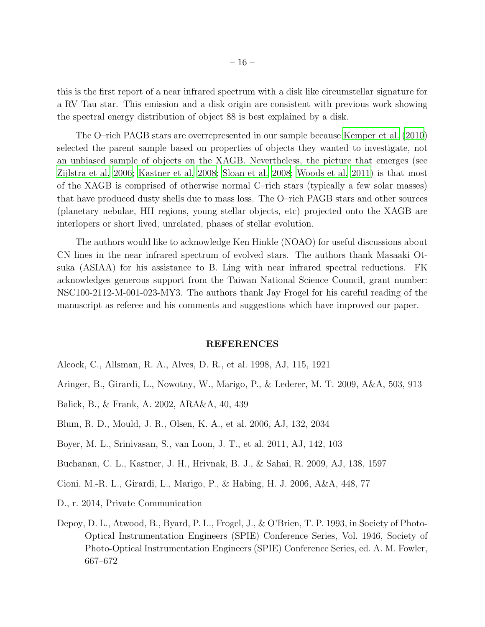<span id="page-15-8"></span>this is the first report of a near infrared spectrum with a disk like circumstellar signature for a RV Tau star. This emission and a disk origin are consistent with previous work showing the spectral energy distribution of object 88 is best explained by a disk.

The O–rich PAGB stars are overrepresented in our sample because [Kemper et al. \(2010\)](#page-16-1) selected the parent sample based on properties of objects they wanted to investigate, not an unbiased sample of objects on the XAGB. Nevertheless, the picture that emerges (see [Zijlstra et al. 2006;](#page-17-0) [Kastner et al. 2008](#page-16-22); [Sloan et al. 2008;](#page-17-1) [Woods et](#page-17-2) al. [2011\)](#page-17-2) is that most of the XAGB is comprised of otherwise normal C–rich stars (typically a few solar masses) that have produced dusty shells due to mass loss. The O–rich PAGB stars and other sources (planetary nebulae, HII regions, young stellar objects, etc) projected onto the XAGB are interlopers or short lived, unrelated, phases of stellar evolution.

The authors would like to acknowledge Ken Hinkle (NOAO) for useful discussions about CN lines in the near infrared spectrum of evolved stars. The authors thank Masaaki Otsuka (ASIAA) for his assistance to B. Ling with near infrared spectral reductions. FK acknowledges generous support from the Taiwan National Science Council, grant number: NSC100-2112-M-001-023-MY3. The authors thank Jay Frogel for his careful reading of the manuscript as referee and his comments and suggestions which have improved our paper.

#### REFERENCES

- <span id="page-15-2"></span>Alcock, C., Allsman, R. A., Alves, D. R., et al. 1998, AJ, 115, 1921
- <span id="page-15-5"></span>Aringer, B., Girardi, L., Nowotny, W., Marigo, P., & Lederer, M. T. 2009, A&A, 503, 913
- <span id="page-15-6"></span>Balick, B., & Frank, A. 2002, ARA&A, 40, 439
- <span id="page-15-0"></span>Blum, R. D., Mould, J. R., Olsen, K. A., et al. 2006, AJ, 132, 2034
- <span id="page-15-4"></span>Boyer, M. L., Srinivasan, S., van Loon, J. T., et al. 2011, AJ, 142, 103
- <span id="page-15-7"></span>Buchanan, C. L., Kastner, J. H., Hrivnak, B. J., & Sahai, R. 2009, AJ, 138, 1597
- <span id="page-15-3"></span>Cioni, M.-R. L., Girardi, L., Marigo, P., & Habing, H. J. 2006, A&A, 448, 77
- D., r. 2014, Private Communication
- <span id="page-15-1"></span>Depoy, D. L., Atwood, B., Byard, P. L., Frogel, J., & O'Brien, T. P. 1993, in Society of Photo-Optical Instrumentation Engineers (SPIE) Conference Series, Vol. 1946, Society of Photo-Optical Instrumentation Engineers (SPIE) Conference Series, ed. A. M. Fowler, 667–672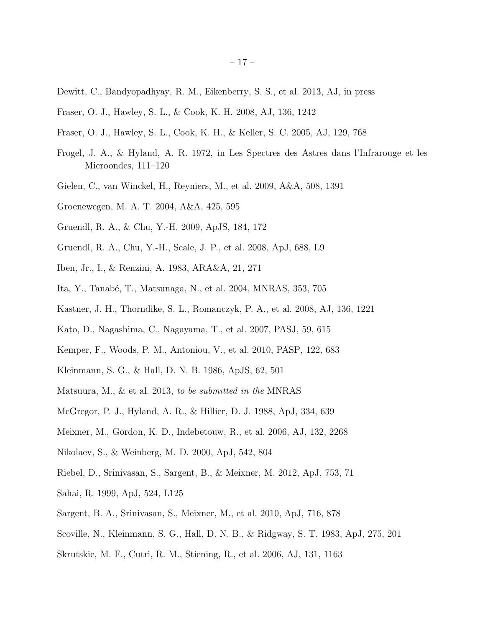- <span id="page-16-23"></span><span id="page-16-3"></span>Dewitt, C., Bandyopadhyay, R. M., Eikenberry, S. S., et al. 2013, AJ, in press
- <span id="page-16-7"></span>Fraser, O. J., Hawley, S. L., & Cook, K. H. 2008, AJ, 136, 1242
- <span id="page-16-6"></span>Fraser, O. J., Hawley, S. L., Cook, K. H., & Keller, S. C. 2005, AJ, 129, 768
- <span id="page-16-10"></span>Frogel, J. A., & Hyland, A. R. 1972, in Les Spectres des Astres dans l'Infrarouge et les Microondes, 111–120
- <span id="page-16-21"></span>Gielen, C., van Winckel, H., Reyniers, M., et al. 2009, A&A, 508, 1391
- <span id="page-16-4"></span>Groenewegen, M. A. T. 2004, A&A, 425, 595
- <span id="page-16-16"></span>Gruendl, R. A., & Chu, Y.-H. 2009, ApJS, 184, 172
- <span id="page-16-11"></span>Gruendl, R. A., Chu, Y.-H., Seale, J. P., et al. 2008, ApJ, 688, L9
- <span id="page-16-15"></span>Iben, Jr., I., & Renzini, A. 1983, ARA&A, 21, 271
- <span id="page-16-5"></span>Ita, Y., Tanab´e, T., Matsunaga, N., et al. 2004, MNRAS, 353, 705
- <span id="page-16-22"></span>Kastner, J. H., Thorndike, S. L., Romanczyk, P. A., et al. 2008, AJ, 136, 1221
- <span id="page-16-14"></span>Kato, D., Nagashima, C., Nagayama, T., et al. 2007, PASJ, 59, 615
- <span id="page-16-1"></span>Kemper, F., Woods, P. M., Antoniou, V., et al. 2010, PASP, 122, 683
- <span id="page-16-9"></span>Kleinmann, S. G., & Hall, D. N. B. 1986, ApJS, 62, 501
- <span id="page-16-17"></span>Matsuura, M., & et al. 2013, to be submitted in the MNRAS
- <span id="page-16-19"></span>McGregor, P. J., Hyland, A. R., & Hillier, D. J. 1988, ApJ, 334, 639
- <span id="page-16-0"></span>Meixner, M., Gordon, K. D., Indebetouw, R., et al. 2006, AJ, 132, 2268
- <span id="page-16-8"></span>Nikolaev, S., & Weinberg, M. D. 2000, ApJ, 542, 804
- <span id="page-16-12"></span>Riebel, D., Srinivasan, S., Sargent, B., & Meixner, M. 2012, ApJ, 753, 71
- <span id="page-16-20"></span>Sahai, R. 1999, ApJ, 524, L125
- <span id="page-16-2"></span>Sargent, B. A., Srinivasan, S., Meixner, M., et al. 2010, ApJ, 716, 878
- <span id="page-16-18"></span>Scoville, N., Kleinmann, S. G., Hall, D. N. B., & Ridgway, S. T. 1983, ApJ, 275, 201
- <span id="page-16-13"></span>Skrutskie, M. F., Cutri, R. M., Stiening, R., et al. 2006, AJ, 131, 1163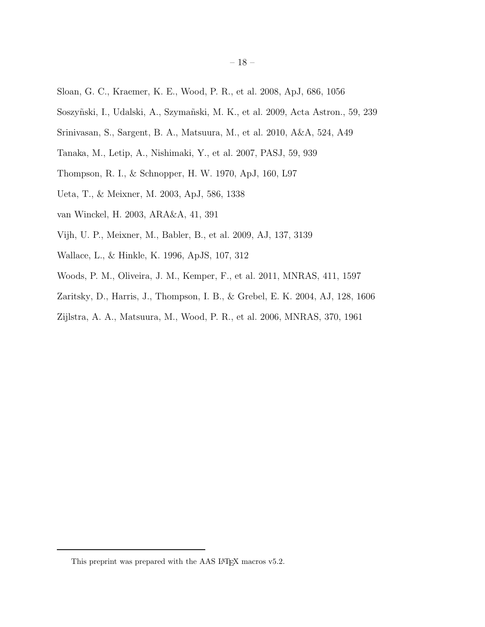- <span id="page-17-14"></span><span id="page-17-1"></span>Sloan, G. C., Kraemer, K. E., Wood, P. R., et al. 2008, ApJ, 686, 1056
- <span id="page-17-6"></span>Soszyñski, I., Udalski, A., Szymañski, M. K., et al. 2009, Acta Astron., 59, 239
- <span id="page-17-3"></span>Srinivasan, S., Sargent, B. A., Matsuura, M., et al. 2010, A&A, 524, A49
- <span id="page-17-8"></span>Tanaka, M., Letip, A., Nishimaki, Y., et al. 2007, PASJ, 59, 939
- <span id="page-17-13"></span>Thompson, R. I., & Schnopper, H. W. 1970, ApJ, 160, L97
- <span id="page-17-10"></span>Ueta, T., & Meixner, M. 2003, ApJ, 586, 1338
- <span id="page-17-12"></span>van Winckel, H. 2003, ARA&A, 41, 391
- <span id="page-17-7"></span>Vijh, U. P., Meixner, M., Babler, B., et al. 2009, AJ, 137, 3139
- <span id="page-17-9"></span>Wallace, L., & Hinkle, K. 1996, ApJS, 107, 312
- <span id="page-17-2"></span>Woods, P. M., Oliveira, J. M., Kemper, F., et al. 2011, MNRAS, 411, 1597
- <span id="page-17-11"></span>Zaritsky, D., Harris, J., Thompson, I. B., & Grebel, E. K. 2004, AJ, 128, 1606
- <span id="page-17-5"></span><span id="page-17-0"></span>Zijlstra, A. A., Matsuura, M., Wood, P. R., et al. 2006, MNRAS, 370, 1961

<span id="page-17-4"></span>This preprint was prepared with the AAS IATEX macros v5.2.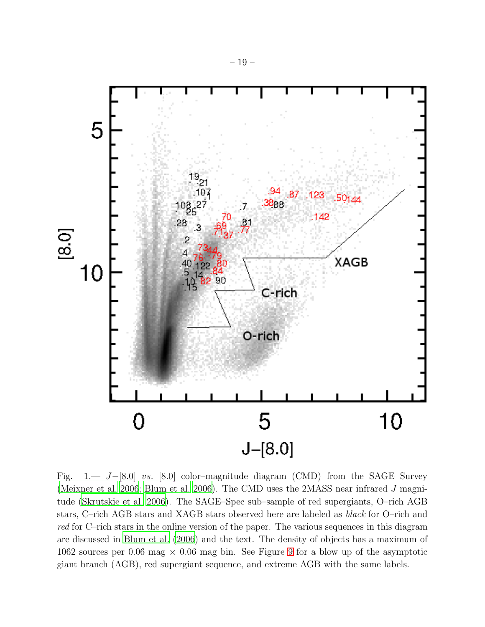<span id="page-18-1"></span>

<span id="page-18-0"></span>Fig. 1.— J−[8.0] vs. [8.0] color–magnitude diagram (CMD) from the SAGE Survey [\(Meixner et al. 2006](#page-16-0); [Blum et al. 2006\)](#page-15-0). The CMD uses the 2MASS near infrared J magnitude [\(Skrutskie et al. 2006\)](#page-16-13). The SAGE–Spec sub–sample of red supergiants, O–rich AGB stars, C–rich AGB stars and XAGB stars observed here are labeled as black for O–rich and red for C–rich stars in the online version of the paper. The various sequences in this diagram are discussed in [Blum et al. \(2006\)](#page-15-0) and the text. The density of objects has a maximum of 1062 sources per 0.06 mag  $\times$  0.06 mag bin. See Figure [9](#page-26-0) for a blow up of the asymptotic giant branch (AGB), red supergiant sequence, and extreme AGB with the same labels.

0

5

 $J-[8.0]$ 

10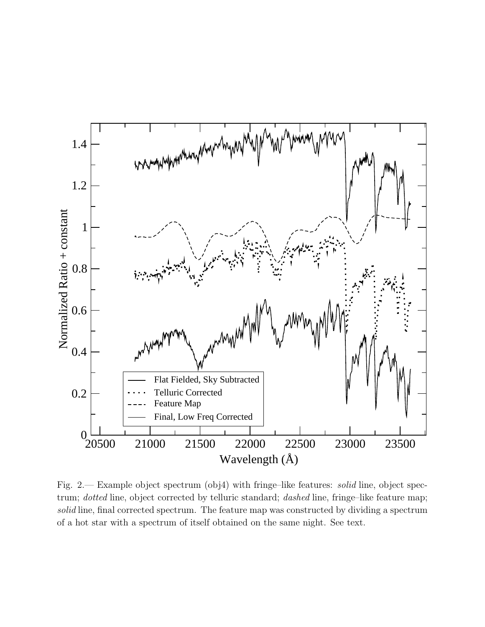

<span id="page-19-0"></span>Fig. 2.— Example object spectrum (obj4) with fringe–like features: solid line, object spectrum; *dotted* line, object corrected by telluric standard; *dashed* line, fringe–like feature map; solid line, final corrected spectrum. The feature map was constructed by dividing a spectrum of a hot star with a spectrum of itself obtained on the same night. See text.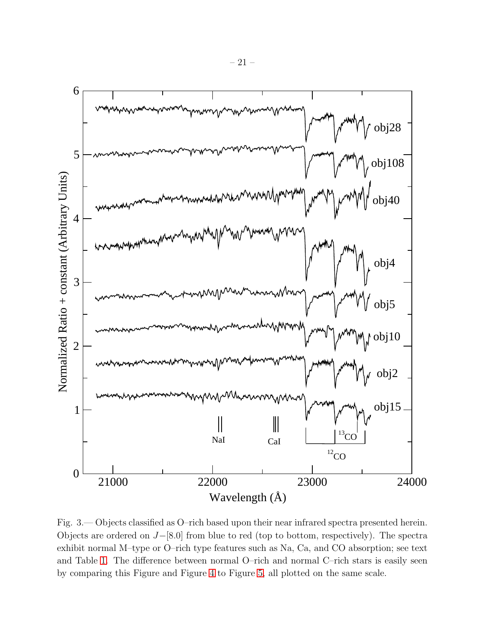<span id="page-20-1"></span>

<span id="page-20-0"></span>Fig. 3.— Objects classified as O–rich based upon their near infrared spectra presented herein. Objects are ordered on J−[8.0] from blue to red (top to bottom, respectively). The spectra exhibit normal M–type or O–rich type features such as Na, Ca, and CO absorption; see text and Table [1.](#page-17-5) The difference between normal O–rich and normal C–rich stars is easily seen by comparing this Figure and Figure [4](#page-21-0) to Figure [5,](#page-22-0) all plotted on the same scale.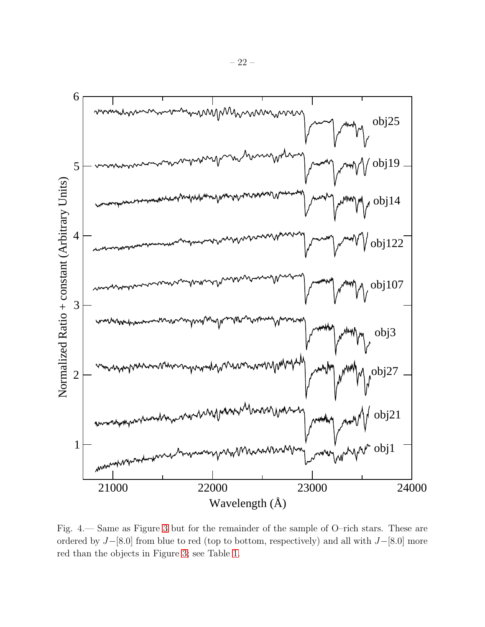<span id="page-21-1"></span>

<span id="page-21-0"></span>Fig. 4.— Same as Figure [3](#page-20-0) but for the remainder of the sample of O–rich stars. These are ordered by J−[8.0] from blue to red (top to bottom, respectively) and all with J−[8.0] more red than the objects in Figure [3;](#page-20-0) see Table [1.](#page-17-5)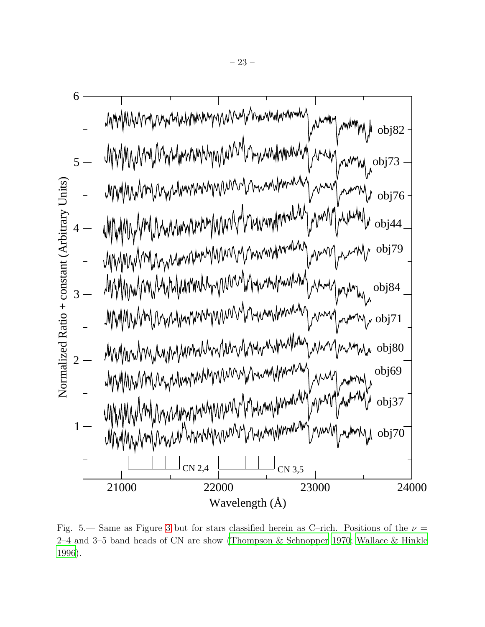<span id="page-22-1"></span>

<span id="page-22-0"></span>Fig. 5.— Same as Figure [3](#page-20-0) but for stars classified herein as C–rich. Positions of the  $\nu =$ 2–4 and 3–5 band heads of CN are show [\(Thompson & Schnopper 1970;](#page-17-13) [Wallace & Hinkle](#page-17-9) [1996\)](#page-17-9).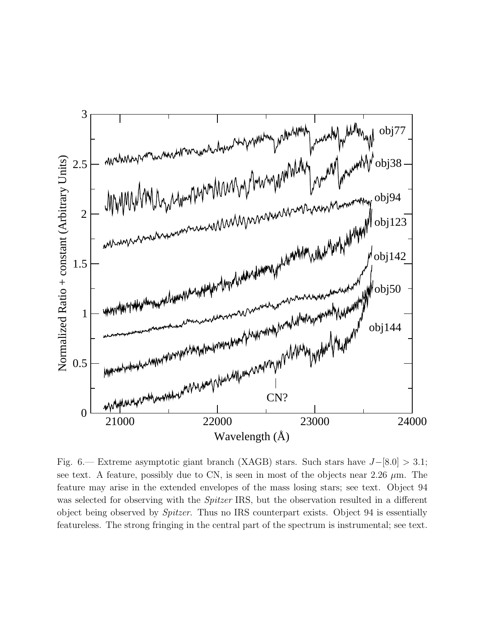<span id="page-23-1"></span>

<span id="page-23-0"></span>Fig. 6.— Extreme asymptotic giant branch (XAGB) stars. Such stars have  $J-[8.0] > 3.1$ ; see text. A feature, possibly due to CN, is seen in most of the objects near 2.26  $\mu$ m. The feature may arise in the extended envelopes of the mass losing stars; see text. Object 94 was selected for observing with the *Spitzer* IRS, but the observation resulted in a different object being observed by Spitzer. Thus no IRS counterpart exists. Object 94 is essentially featureless. The strong fringing in the central part of the spectrum is instrumental; see text.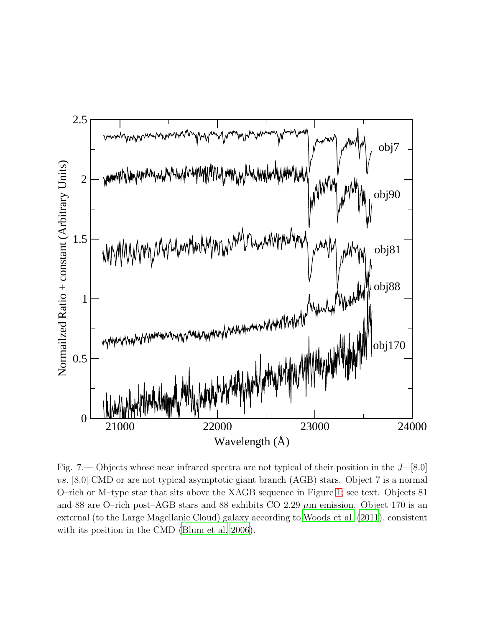<span id="page-24-1"></span>

<span id="page-24-0"></span>Fig. 7.— Objects whose near infrared spectra are not typical of their position in the J−[8.0] vs. [8.0] CMD or are not typical asymptotic giant branch (AGB) stars. Object 7 is a normal O–rich or M–type star that sits above the XAGB sequence in Figure [1;](#page-18-0) see text. Objects 81 and 88 are O–rich post–AGB stars and 88 exhibits CO 2.29  $\mu$ m emission. Object 170 is an external (to the Large Magellanic Cloud) galaxy according to [Woods](#page-17-2) et al. [\(2011\)](#page-17-2), consistent with its position in the CMD [\(Blum et al. 2006\)](#page-15-0).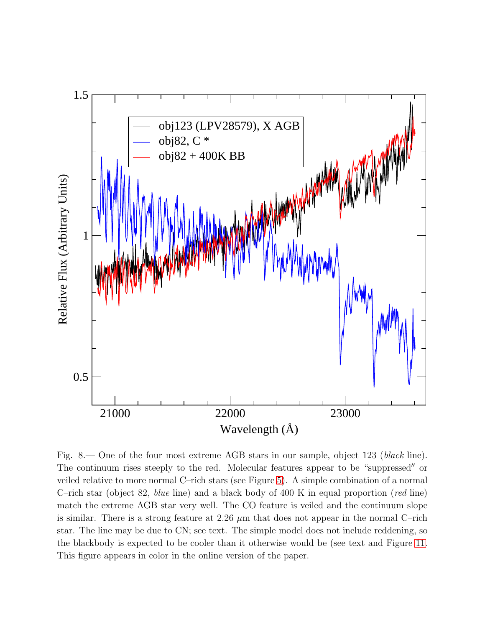

<span id="page-25-0"></span>Fig. 8.— One of the four most extreme AGB stars in our sample, object 123 (black line). The continuum rises steeply to the red. Molecular features appear to be "suppressed′′ or veiled relative to more normal C–rich stars (see Figure [5\)](#page-22-0). A simple combination of a normal C–rich star (object 82, blue line) and a black body of 400 K in equal proportion (red line) match the extreme AGB star very well. The CO feature is veiled and the continuum slope is similar. There is a strong feature at 2.26  $\mu$ m that does not appear in the normal C–rich star. The line may be due to CN; see text. The simple model does not include reddening, so the blackbody is expected to be cooler than it otherwise would be (see text and Figure [11.](#page-28-0) This figure appears in color in the online version of the paper.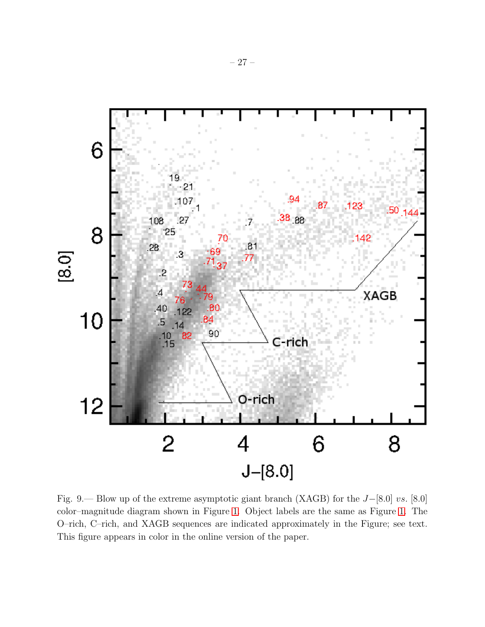

<span id="page-26-0"></span>Fig. 9.— Blow up of the extreme asymptotic giant branch (XAGB) for the J−[8.0] vs. [8.0] color–magnitude diagram shown in Figure [1.](#page-18-0) Object labels are the same as Figure [1.](#page-18-0) The O–rich, C–rich, and XAGB sequences are indicated approximately in the Figure; see text. This figure appears in color in the online version of the paper.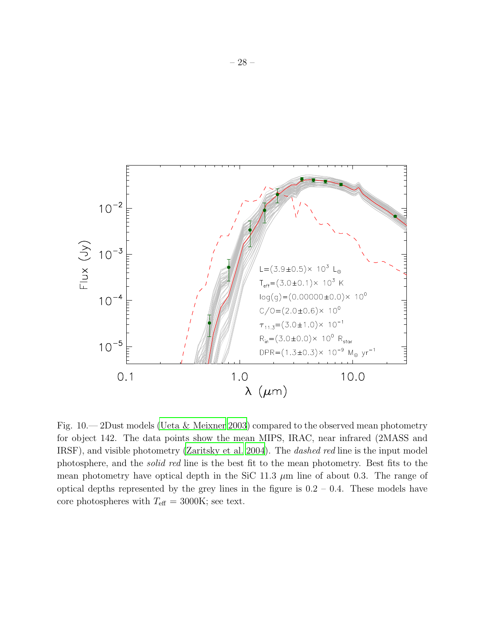

<span id="page-27-0"></span>Fig. 10.— 2Dust models [\(Ueta & Meixner 2003\)](#page-17-10) compared to the observed mean photometry for object 142. The data points show the mean MIPS, IRAC, near infrared (2MASS and IRSF), and visible photometry [\(Zaritsky et al. 2004](#page-17-11)). The dashed red line is the input model photosphere, and the solid red line is the best fit to the mean photometry. Best fits to the mean photometry have optical depth in the SiC 11.3  $\mu$ m line of about 0.3. The range of optical depths represented by the grey lines in the figure is  $0.2 - 0.4$ . These models have core photospheres with  $T_{\text{eff}} = 3000 \text{K}$ ; see text.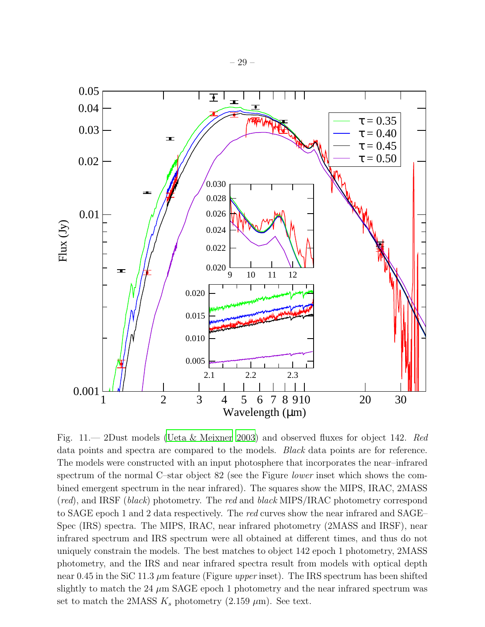– 29 –



<span id="page-28-0"></span>Fig. 11.— 2Dust models [\(Ueta & Meixner 2003](#page-17-10)) and observed fluxes for object 142. Red data points and spectra are compared to the models. Black data points are for reference. The models were constructed with an input photosphere that incorporates the near–infrared spectrum of the normal C–star object 82 (see the Figure *lower* inset which shows the combined emergent spectrum in the near infrared). The squares show the MIPS, IRAC, 2MASS (red), and IRSF (black) photometry. The red and black MIPS/IRAC photometry correspond to SAGE epoch 1 and 2 data respectively. The red curves show the near infrared and SAGE– Spec (IRS) spectra. The MIPS, IRAC, near infrared photometry (2MASS and IRSF), near infrared spectrum and IRS spectrum were all obtained at different times, and thus do not uniquely constrain the models. The best matches to object 142 epoch 1 photometry, 2MASS photometry, and the IRS and near infrared spectra result from models with optical depth near 0.45 in the SiC 11.3  $\mu$ m feature (Figure upper inset). The IRS spectrum has been shifted slightly to match the 24  $\mu$ m SAGE epoch 1 photometry and the near infrared spectrum was set to match the 2MASS  $K_s$  photometry (2.159  $\mu$ m). See text.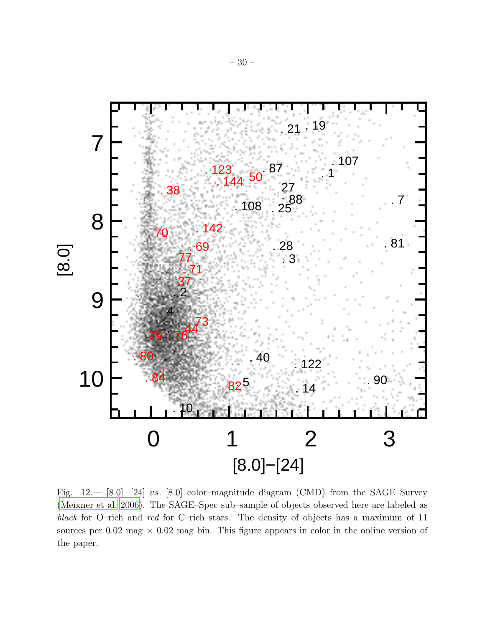

<span id="page-29-0"></span>Fig. 12.— [8.0]−[24] vs. [8.0] color–magnitude diagram (CMD) from the SAGE Survey [\(Meixner et al. 2006\)](#page-16-0). The SAGE–Spec sub–sample of objects observed here are labeled as black for O–rich and red for C–rich stars. The density of objects has a maximum of 11 sources per  $0.02$  mag  $\times$   $0.02$  mag bin. This figure appears in color in the online version of the paper.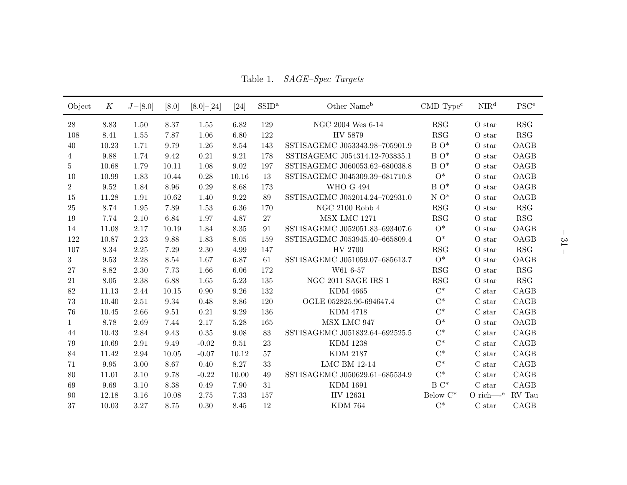Table 1. SAGE–Spec Targets

| Object         | K                   | $J-[8.0]$ | [8.0] | $[8.0]$ - $[24]$ | [24]     | SSID <sup>a</sup> | Other Name <sup>b</sup>        | $\text{CMD Type}^c$ | NIR <sup>d</sup>  | $\operatorname{PSC}^{\operatorname{e}}$ |
|----------------|---------------------|-----------|-------|------------------|----------|-------------------|--------------------------------|---------------------|-------------------|-----------------------------------------|
| 28             | 8.83                | 1.50      | 8.37  | 1.55             | 6.82     | 129               | NGC 2004 Wes 6-14              | <b>RSG</b>          | O star            | RSG                                     |
| 108            | 8.41                | 1.55      | 7.87  | 1.06             | 6.80     | 122               | HV 5879                        | <b>RSG</b>          | O star            | RSG                                     |
| 40             | 10.23               | 1.71      | 9.79  | 1.26             | 8.54     | 143               | SSTISAGEMC J053343.98-705901.9 | $B O^*$             | O star            | OAGB                                    |
| 4              | 9.88                | 1.74      | 9.42  | 0.21             | 9.21     | 178               | SSTISAGEMC J054314.12-703835.1 | $B O^*$             | O star            | OAGB                                    |
| 5              | 10.68               | 1.79      | 10.11 | 1.08             | 9.02     | 197               | SSTISAGEMC J060053.62-680038.8 | $B O^*$             | O star            | OAGB                                    |
| 10             | 10.99               | 1.83      | 10.44 | 0.28             | 10.16    | 13                | SSTISAGEMC J045309.39-681710.8 | $O^*$               | O star            | OAGB                                    |
| $\overline{2}$ | 9.52                | 1.84      | 8.96  | $0.29\,$         | 8.68     | 173               | <b>WHO G 494</b>               | $B O^*$             | O star            | OAGB                                    |
| 15             | 11.28               | 1.91      | 10.62 | 1.40             | 9.22     | 89                | SSTISAGEMC J052014.24-702931.0 | $N O^*$             | O <sub>star</sub> | OAGB                                    |
| 25             | 8.74                | 1.95      | 7.89  | 1.53             | 6.36     | 170               | NGC 2100 Robb $4\,$            | RSG                 | O star            | <b>RSG</b>                              |
| 19             | 7.74                | 2.10      | 6.84  | 1.97             | 4.87     | 27                | MSX LMC 1271                   | RSG                 | O star            | RSG                                     |
| 14             | 11.08               | 2.17      | 10.19 | 1.84             | 8.35     | 91                | SSTISAGEMC J052051.83-693407.6 | $O^*$               | O <sub>star</sub> | OAGB                                    |
| 122            | 10.87               | 2.23      | 9.88  | 1.83             | 8.05     | 159               | SSTISAGEMC J053945.40-665809.4 | $O^*$               | O star            | OAGB                                    |
| 107            | 8.34                | 2.25      | 7.29  | 2.30             | 4.99     | 147               | HV 2700                        | RSG                 | O star            | <b>RSG</b>                              |
| 3              | $\,9.53$            | 2.28      | 8.54  | 1.67             | 6.87     | 61                | SSTISAGEMC J051059.07-685613.7 | $O^*$               | O star            | OAGB                                    |
| 27             | 8.82                | 2.30      | 7.73  | 1.66             | 6.06     | 172               | W61 6-57                       | RSG                 | O star            | RSG                                     |
| 21             | 8.05                | 2.38      | 6.88  | 1.65             | 5.23     | 135               | NGC 2011 SAGE IRS $1$          | RSG                 | O star            | <b>RSG</b>                              |
| $82\,$         | 11.13               | 2.44      | 10.15 | $0.90\,$         | $9.26\,$ | 132               | <b>KDM 4665</b>                | $C^*$               | C <sub>star</sub> | CAGB                                    |
| 73             | 10.40               | 2.51      | 9.34  | 0.48             | 8.86     | 120               | OGLE 052825.96-694647.4        | $C^*$               | C <sub>star</sub> | CAGB                                    |
| 76             | 10.45               | 2.66      | 9.51  | 0.21             | 9.29     | 136               | <b>KDM 4718</b>                | $C^*$               | C <sub>star</sub> | CAGB                                    |
| $\mathbf{1}$   | 8.78                | 2.69      | 7.44  | 2.17             | 5.28     | 165               | MSX LMC 947                    | $O^*$               | O star            | OAGB                                    |
| 44             | 10.43               | 2.84      | 9.43  | $0.35\,$         | 9.08     | 83                | SSTISAGEMC J051832.64-692525.5 | $C^*$               | C <sub>star</sub> | CAGB                                    |
| 79             | 10.69               | 2.91      | 9.49  | $-0.02$          | 9.51     | 23                | <b>KDM 1238</b>                | $C^*$               | $\mathrm C$ star  | CAGB                                    |
| 84             | 11.42               | 2.94      | 10.05 | $-0.07$          | 10.12    | $57\,$            | <b>KDM 2187</b>                | $C^*$               | C <sub>star</sub> | CAGB                                    |
| 71             | $\boldsymbol{9.95}$ | 3.00      | 8.67  | 0.40             | 8.27     | 33                | <b>LMC BM 12-14</b>            | $C^*$               | $\mathrm C$ star  | CAGB                                    |
| 80             | 11.01               | 3.10      | 9.78  | $-0.22$          | 10.00    | 49                | SSTISAGEMC J050629.61-685534.9 | $C^*$               | $\mathrm C$ star  | CAGB                                    |
| 69             | 9.69                | 3.10      | 8.38  | 0.49             | 7.90     | 31                | <b>KDM 1691</b>                | $B C^*$             | C <sub>star</sub> | CAGB                                    |
| 90             | 12.18               | 3.16      | 10.08 | 2.75             | 7.33     | 157               | HV 12631                       | Below $C^*$         | O rich— $e$       | RV Tau                                  |
| 37             | 10.03               | 3.27      | 8.75  | $0.30\,$         | 8.45     | 12                | <b>KDM 764</b>                 | $\mathrm{C}^*$      | $\mathrm C$ star  | CAGB                                    |